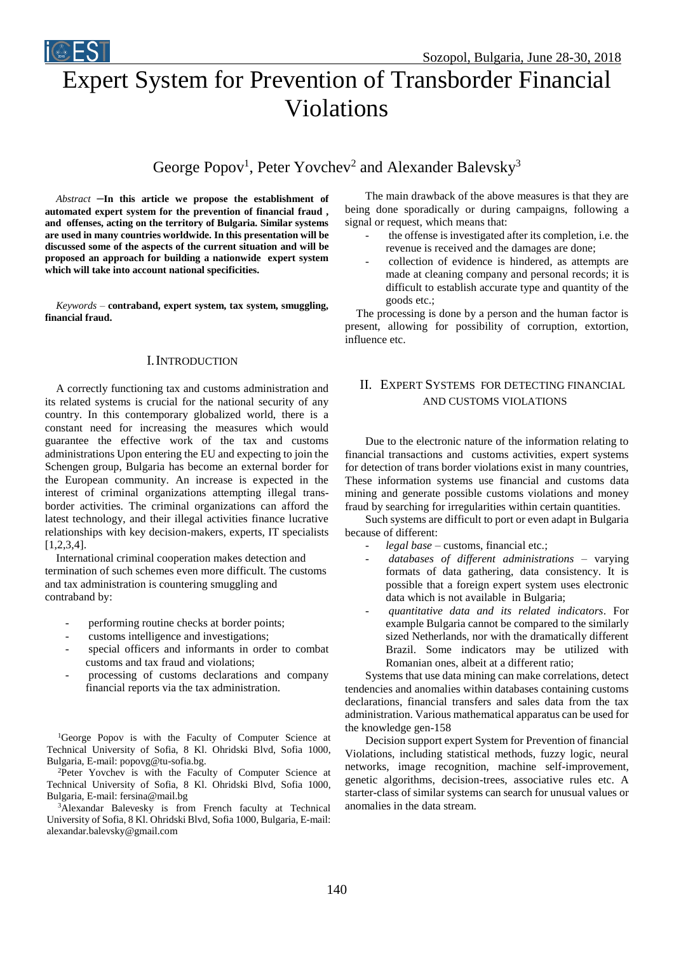

Violations

George Popov<sup>1</sup>, Peter Yovchev<sup>2</sup> and Alexander Balevsky<sup>3</sup>

*Abstract –***In this article we propose the establishment of automated expert system for the prevention of financial fraud , and offenses, acting on the territory of Bulgaria. Similar systems are used in many countries worldwide. In this presentation will be discussed some of the aspects of the current situation and will be proposed an approach for building a nationwide expert system which will take into account national specificities.**

*Keywords –* **contraband, expert system, tax system, smuggling, financial fraud.**

## I.INTRODUCTION

A correctly functioning tax and customs administration and its related systems is crucial for the national security of any country. In this contemporary globalized world, there is a constant need for increasing the measures which would guarantee the effective work of the tax and customs administrations Upon entering the EU and expecting to join the Schengen group, Bulgaria has become an external border for the European community. An increase is expected in the interest of criminal organizations attempting illegal transborder activities. The criminal organizations can afford the latest technology, and their illegal activities finance lucrative relationships with key decision-makers, experts, IT specialists [1,2,3,4].

International criminal cooperation makes detection and termination of such schemes even more difficult. The customs and tax administration is countering smuggling and contraband by:

- performing routine checks at border points;
- customs intelligence and investigations;
- special officers and informants in order to combat customs and tax fraud and violations;
- processing of customs declarations and company financial reports via the tax administration.

<sup>1</sup>George Popov is with the Faculty of Computer Science at Technical University of Sofia, 8 Kl. Ohridski Blvd, Sofia 1000, Bulgaria, E-mail: popovg@tu-sofia.bg.

<sup>2</sup>Peter Yovchev is with the Faculty of Computer Science at Technical University of Sofia, 8 Kl. Ohridski Blvd, Sofia 1000, Bulgaria, E-mail: fersina@mail.bg

<sup>3</sup>Alexandar Balevesky is from French faculty at Technical University of Sofia, 8 Kl. Ohridski Blvd, Sofia 1000, Bulgaria, E-mail: alexandar.balevsky@gmail.com

The main drawback of the above measures is that they are being done sporadically or during campaigns, following a signal or request, which means that:

- the offense is investigated after its completion, i.e. the revenue is received and the damages are done;
- collection of evidence is hindered, as attempts are made at cleaning company and personal records; it is difficult to establish accurate type and quantity of the goods etc.;

The processing is done by a person and the human factor is present, allowing for possibility of corruption, extortion, influence etc.

# II. EXPERT SYSTEMS FOR DETECTING FINANCIAL AND CUSTOMS VIOLATIONS

Due to the electronic nature of the information relating to financial transactions and customs activities, expert systems for detection of trans border violations exist in many countries, These information systems use financial and customs data mining and generate possible customs violations and money fraud by searching for irregularities within certain quantities.

Such systems are difficult to port or even adapt in Bulgaria because of different:

- legal base customs, financial etc.;
- *databases of different administrations*  varying formats of data gathering, data consistency. It is possible that a foreign expert system uses electronic data which is not available in Bulgaria;
- *quantitative data and its related indicators*. For example Bulgaria cannot be compared to the similarly sized Netherlands, nor with the dramatically different Brazil. Some indicators may be utilized with Romanian ones, albeit at a different ratio;

Systems that use data mining can make correlations, detect tendencies and anomalies within databases containing customs declarations, financial transfers and sales data from the tax administration. Various mathematical apparatus can be used for the knowledge gen-158

Decision support expert System for Prevention of financial Violations, including statistical methods, fuzzy logic, neural networks, image recognition, machine self-improvement, genetic algorithms, decision-trees, associative rules etc. A starter-class of similar systems can search for unusual values or anomalies in the data stream.